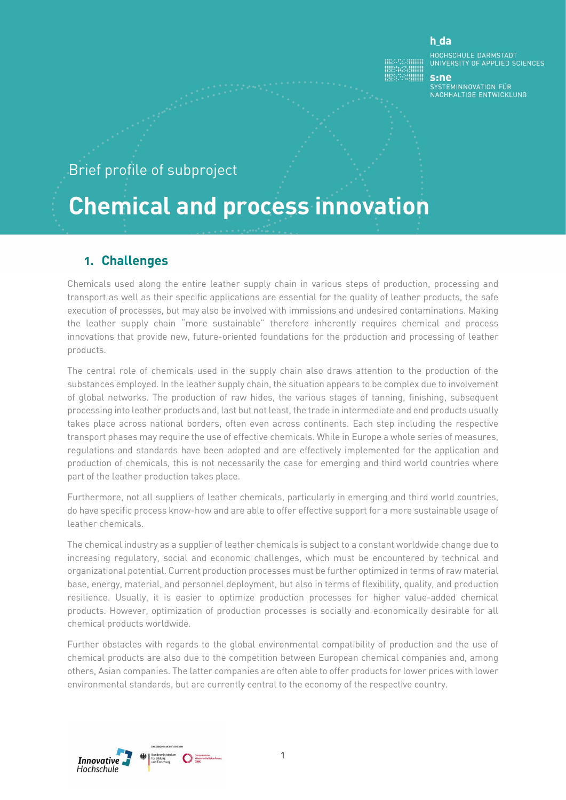#### h da

HOCHSCHULE DARMSTADT<br>UNIVERSITY OF APPLIED SCIENCES

## Brief profile of subproject

# **Chemical and process innovation**

### **1. Challenges**

Chemicals used along the entire leather supply chain in various steps of production, processing and transport as well as their specific applications are essential for the quality of leather products, the safe execution of processes, but may also be involved with immissions and undesired contaminations. Making the leather supply chain "more sustainable" therefore inherently requires chemical and process innovations that provide new, future-oriented foundations for the production and processing of leather products.

The central role of chemicals used in the supply chain also draws attention to the production of the substances employed. In the leather supply chain, the situation appears to be complex due to involvement of global networks. The production of raw hides, the various stages of tanning, finishing, subsequent processing into leather products and, last but not least, the trade in intermediate and end products usually takes place across national borders, often even across continents. Each step including the respective transport phases may require the use of effective chemicals. While in Europe a whole series of measures, regulations and standards have been adopted and are effectively implemented for the application and production of chemicals, this is not necessarily the case for emerging and third world countries where part of the leather production takes place.

Furthermore, not all suppliers of leather chemicals, particularly in emerging and third world countries, do have specific process know-how and are able to offer effective support for a more sustainable usage of leather chemicals.

The chemical industry as a supplier of leather chemicals is subject to a constant worldwide change due to increasing regulatory, social and economic challenges, which must be encountered by technical and organizational potential. Current production processes must be further optimized in terms of raw material base, energy, material, and personnel deployment, but also in terms of flexibility, quality, and production resilience. Usually, it is easier to optimize production processes for higher value-added chemical products. However, optimization of production processes is socially and economically desirable for all chemical products worldwide.

Further obstacles with regards to the global environmental compatibility of production and the use of chemical products are also due to the competition between European chemical companies and, among others, Asian companies. The latter companies are often able to offer products for lower prices with lower environmental standards, but are currently central to the economy of the respective country.

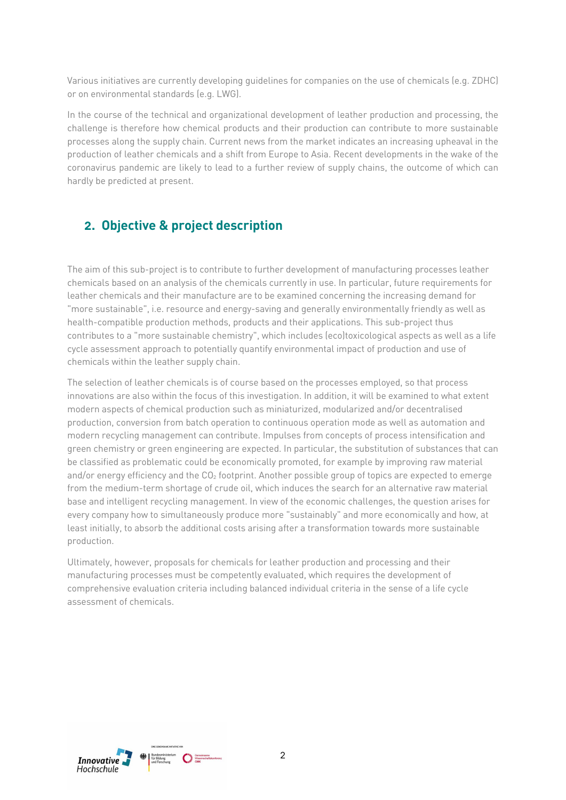Various initiatives are currently developing guidelines for companies on the use of chemicals (e.g. ZDHC) or on environmental standards (e.g. LWG).

In the course of the technical and organizational development of leather production and processing, the challenge is therefore how chemical products and their production can contribute to more sustainable processes along the supply chain. Current news from the market indicates an increasing upheaval in the production of leather chemicals and a shift from Europe to Asia. Recent developments in the wake of the coronavirus pandemic are likely to lead to a further review of supply chains, the outcome of which can hardly be predicted at present.

## **2. Objective & project description**

The aim of this sub-project is to contribute to further development of manufacturing processes leather chemicals based on an analysis of the chemicals currently in use. In particular, future requirements for leather chemicals and their manufacture are to be examined concerning the increasing demand for "more sustainable", i.e. resource and energy-saving and generally environmentally friendly as well as health-compatible production methods, products and their applications. This sub-project thus contributes to a "more sustainable chemistry", which includes (eco)toxicological aspects as well as a life cycle assessment approach to potentially quantify environmental impact of production and use of chemicals within the leather supply chain.

The selection of leather chemicals is of course based on the processes employed, so that process innovations are also within the focus of this investigation. In addition, it will be examined to what extent modern aspects of chemical production such as miniaturized, modularized and/or decentralised production, conversion from batch operation to continuous operation mode as well as automation and modern recycling management can contribute. Impulses from concepts of process intensification and green chemistry or green engineering are expected. In particular, the substitution of substances that can be classified as problematic could be economically promoted, for example by improving raw material and/or energy efficiency and the CO<sub>2</sub> footprint. Another possible group of topics are expected to emerge from the medium-term shortage of crude oil, which induces the search for an alternative raw material base and intelligent recycling management. In view of the economic challenges, the question arises for every company how to simultaneously produce more "sustainably" and more economically and how, at least initially, to absorb the additional costs arising after a transformation towards more sustainable production.

Ultimately, however, proposals for chemicals for leather production and processing and their manufacturing processes must be competently evaluated, which requires the development of comprehensive evaluation criteria including balanced individual criteria in the sense of a life cycle assessment of chemicals.

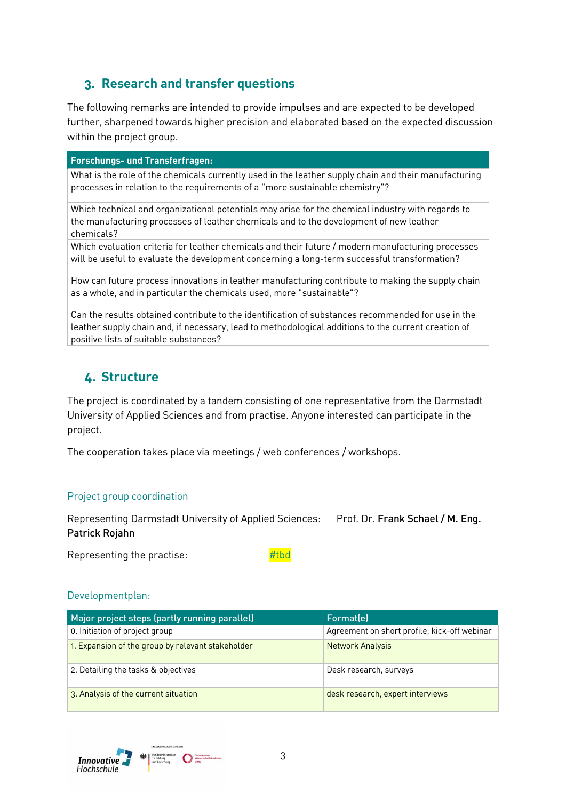## **3. Research and transfer questions**

The following remarks are intended to provide impulses and are expected to be developed further, sharpened towards higher precision and elaborated based on the expected discussion within the project group.

#### **Forschungs- und Transferfragen:**

What is the role of the chemicals currently used in the leather supply chain and their manufacturing processes in relation to the requirements of a "more sustainable chemistry"?

Which technical and organizational potentials may arise for the chemical industry with regards to the manufacturing processes of leather chemicals and to the development of new leather chemicals?

Which evaluation criteria for leather chemicals and their future / modern manufacturing processes will be useful to evaluate the development concerning a long-term successful transformation?

How can future process innovations in leather manufacturing contribute to making the supply chain as a whole, and in particular the chemicals used, more "sustainable"?

Can the results obtained contribute to the identification of substances recommended for use in the leather supply chain and, if necessary, lead to methodological additions to the current creation of positive lists of suitable substances?

## **4. Structure**

The project is coordinated by a tandem consisting of one representative from the Darmstadt University of Applied Sciences and from practise. Anyone interested can participate in the project.

The cooperation takes place via meetings / web conferences / workshops.

#### Project group coordination

Representing Darmstadt University of Applied Sciences: Prof. Dr. Frank Schael / M. Eng. Patrick Rojahn

Representing the practise:  $\frac{H}{t}$ 

#### Developmentplan:

| Major project steps (partly running parallel)     | Format(e)                                    |
|---------------------------------------------------|----------------------------------------------|
| 0. Initiation of project group                    | Agreement on short profile, kick-off webinar |
| 1. Expansion of the group by relevant stakeholder | <b>Network Analysis</b>                      |
| 2. Detailing the tasks & objectives               | Desk research, surveys                       |
| 3. Analysis of the current situation              | desk research, expert interviews             |